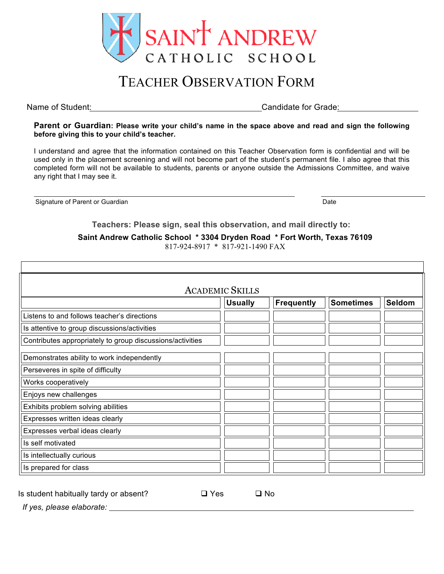

## TEACHER OBSERVATION FORM

Name of Student: <u>Canadian Candidate for Grade:</u> Candidate for Grade:

**Parent or Guardian: Please write your child's name in the space above and read and sign the following before giving this to your child's teacher.** 

I understand and agree that the information contained on this Teacher Observation form is confidential and will be used only in the placement screening and will not become part of the student's permanent file. I also agree that this completed form will not be available to students, parents or anyone outside the Admissions Committee, and waive any right that I may see it.

Signature of Parent or Guardian Date of Parent or Guardian Date of Parent or Guardian Date of Date of Date of Date of Date of Date of Date of Date of Date of Date of Date of Date of Date of Date of Date of Date of Date of

**Teachers: Please sign, seal this observation, and mail directly to:**

**Saint Andrew Catholic School \* 3304 Dryden Road \* Fort Worth, Texas 76109**

817-924-8917 \* 817-921-1490 FAX

| <b>ACADEMIC SKILLS</b>                                    |                |            |                  |               |  |
|-----------------------------------------------------------|----------------|------------|------------------|---------------|--|
|                                                           | <b>Usually</b> | Frequently | <b>Sometimes</b> | <b>Seldom</b> |  |
| Listens to and follows teacher's directions               |                |            |                  |               |  |
| Is attentive to group discussions/activities              |                |            |                  |               |  |
| Contributes appropriately to group discussions/activities |                |            |                  |               |  |
| Demonstrates ability to work independently                |                |            |                  |               |  |
| Perseveres in spite of difficulty                         |                |            |                  |               |  |
| Works cooperatively                                       |                |            |                  |               |  |
| Enjoys new challenges                                     |                |            |                  |               |  |
| Exhibits problem solving abilities                        |                |            |                  |               |  |
| Expresses written ideas clearly                           |                |            |                  |               |  |
| Expresses verbal ideas clearly                            |                |            |                  |               |  |
| Is self motivated                                         |                |            |                  |               |  |
| Is intellectually curious                                 |                |            |                  |               |  |
| Is prepared for class                                     |                |            |                  |               |  |

| Is student habitually tardy or absent? | □ Yes | □ No |
|----------------------------------------|-------|------|
|----------------------------------------|-------|------|

*If yes, please elaborate:*